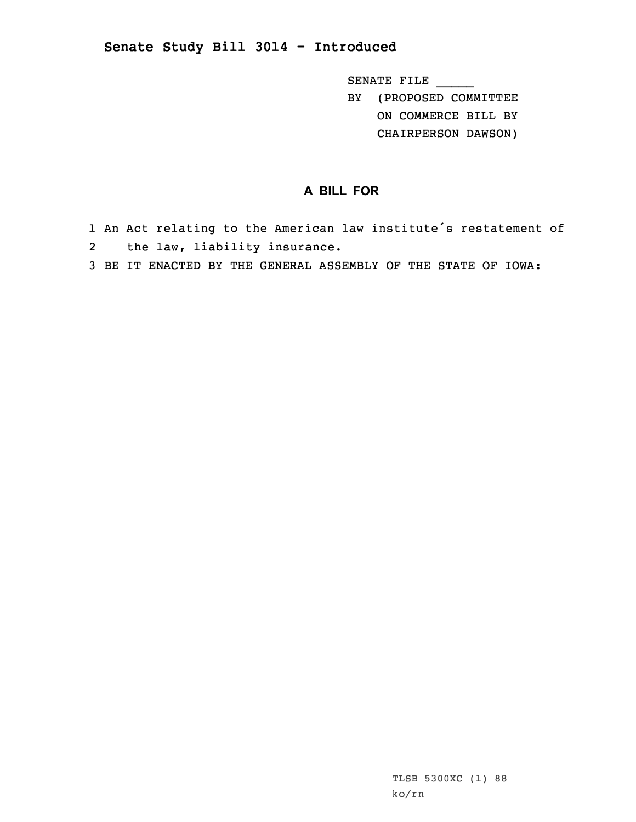## **Senate Study Bill 3014 - Introduced**

SENATE FILE \_\_\_\_\_

BY (PROPOSED COMMITTEE ON COMMERCE BILL BY

CHAIRPERSON DAWSON)

## **A BILL FOR**

- 1 An Act relating to the American law institute's restatement of 2the law, liability insurance.
- 3 BE IT ENACTED BY THE GENERAL ASSEMBLY OF THE STATE OF IOWA: